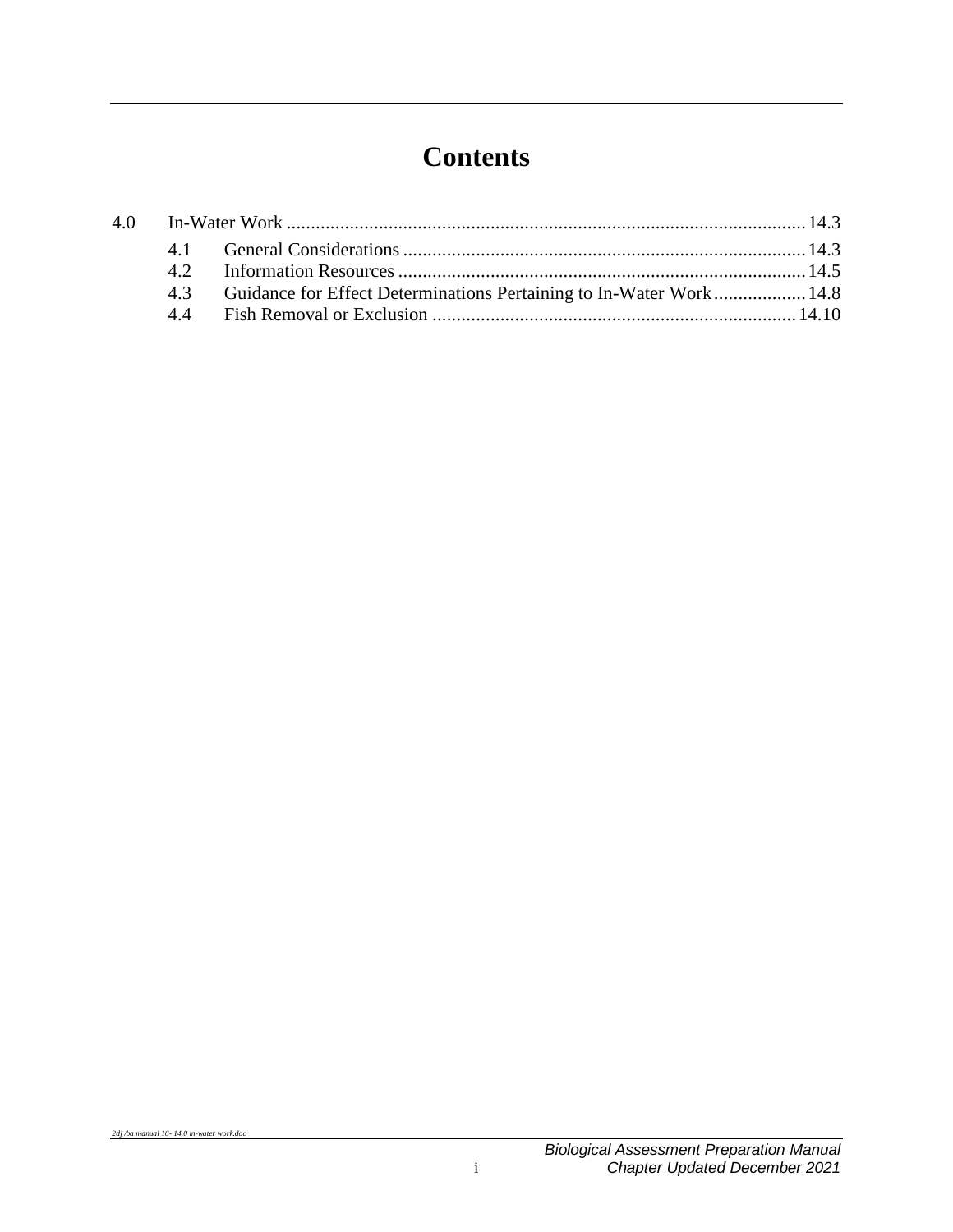## **Contents**

|  | 4.3 Guidance for Effect Determinations Pertaining to In-Water Work 14.8 |  |
|--|-------------------------------------------------------------------------|--|
|  |                                                                         |  |
|  |                                                                         |  |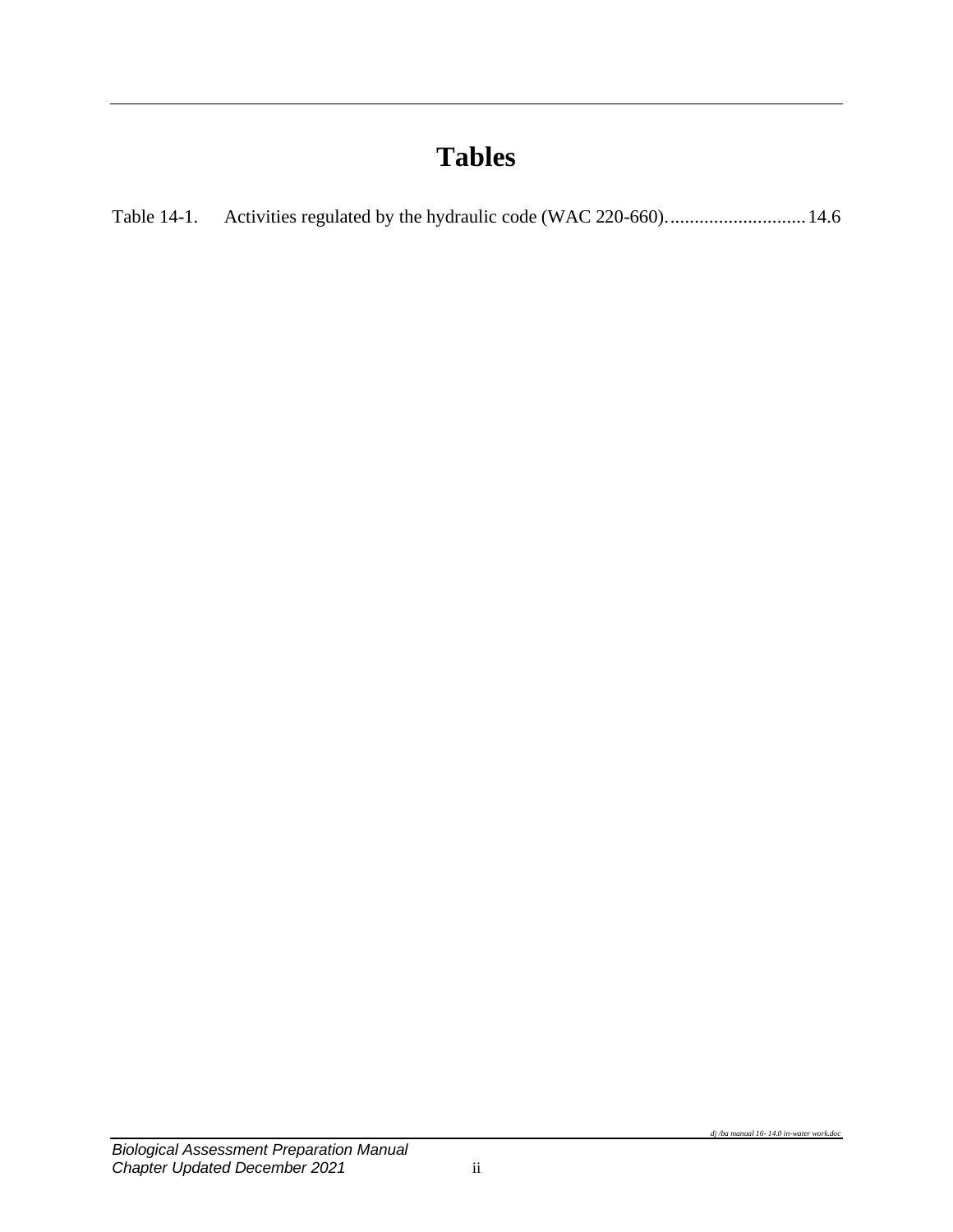# **Tables**

| Table 14-1. |  |  |
|-------------|--|--|
|-------------|--|--|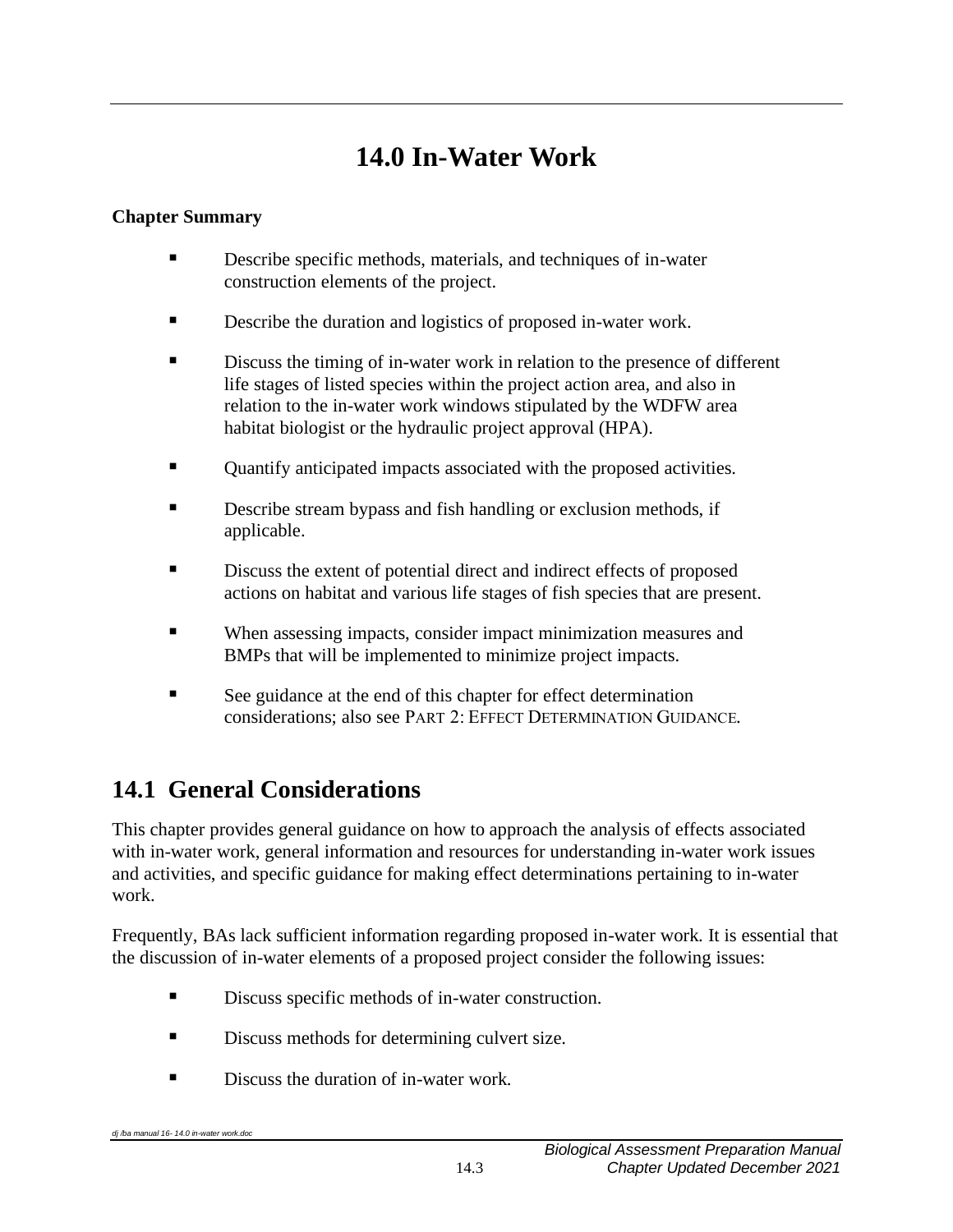# **14.0 In-Water Work**

#### <span id="page-4-0"></span>**Chapter Summary**

- Describe specific methods, materials, and techniques of in-water construction elements of the project.
- Describe the duration and logistics of proposed in-water work.
- **EXECUTE:** Discuss the timing of in-water work in relation to the presence of different life stages of listed species within the project action area, and also in relation to the in-water work windows stipulated by the WDFW area habitat biologist or the hydraulic project approval (HPA).
- Ouantify anticipated impacts associated with the proposed activities.
- Describe stream bypass and fish handling or exclusion methods, if applicable.
- Discuss the extent of potential direct and indirect effects of proposed actions on habitat and various life stages of fish species that are present.
- When assessing impacts, consider impact minimization measures and BMPs that will be implemented to minimize project impacts.
- See guidance at the end of this chapter for effect determination considerations; also see PART 2: EFFECT DETERMINATION GUIDANCE.

## <span id="page-4-1"></span>**14.1 General Considerations**

This chapter provides general guidance on how to approach the analysis of effects associated with in-water work, general information and resources for understanding in-water work issues and activities, and specific guidance for making effect determinations pertaining to in-water work.

Frequently, BAs lack sufficient information regarding proposed in-water work. It is essential that the discussion of in-water elements of a proposed project consider the following issues:

- Discuss specific methods of in-water construction.
- Discuss methods for determining culvert size.
- Discuss the duration of in-water work.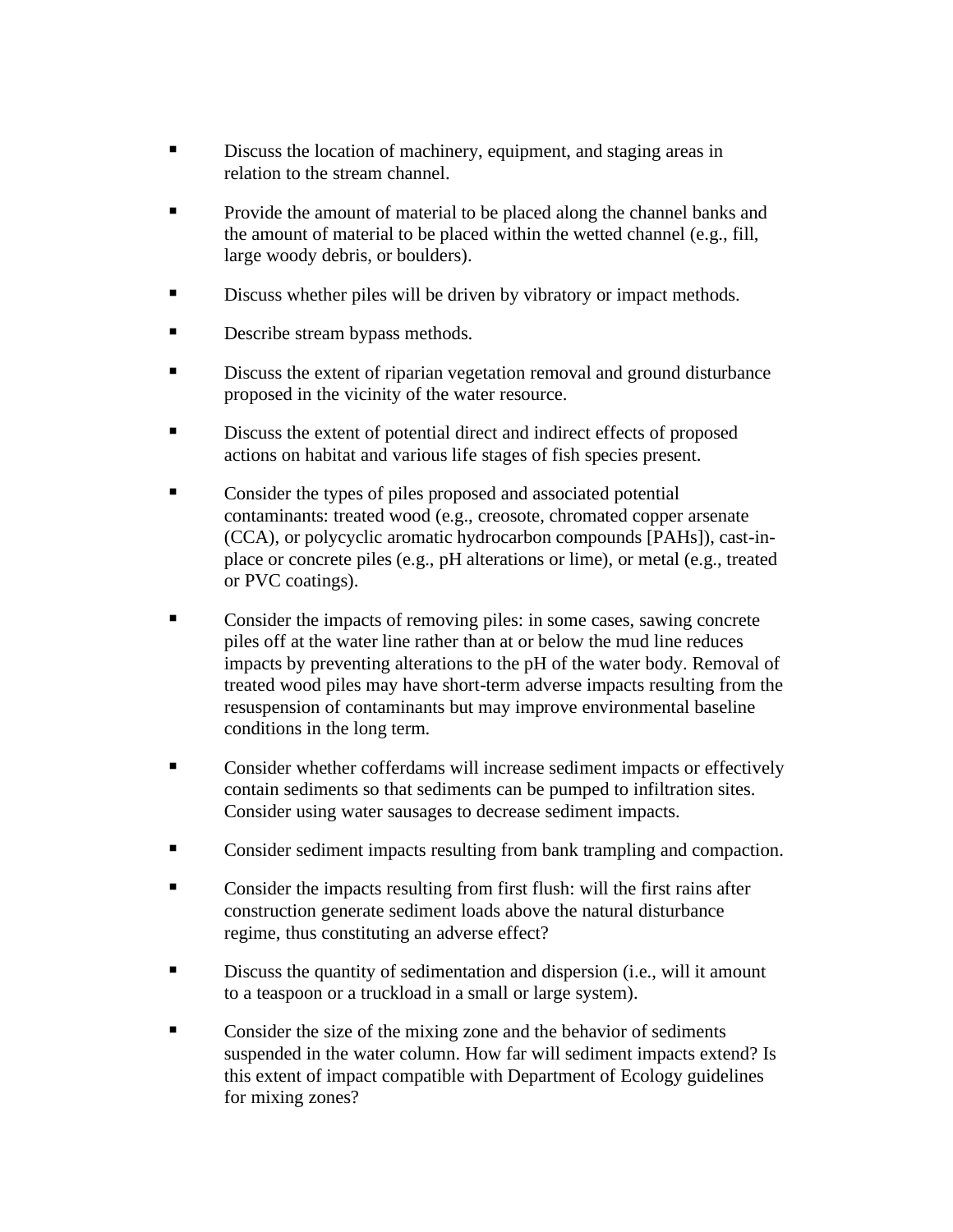- **Example 3** Discuss the location of machinery, equipment, and staging areas in relation to the stream channel.
- Provide the amount of material to be placed along the channel banks and the amount of material to be placed within the wetted channel (e.g., fill, large woody debris, or boulders).
- **EXECUTE:** Discuss whether piles will be driven by vibratory or impact methods.
- **Describe stream bypass methods.**
- **EXECUTE:** Discuss the extent of riparian vegetation removal and ground disturbance proposed in the vicinity of the water resource.
- Discuss the extent of potential direct and indirect effects of proposed actions on habitat and various life stages of fish species present.
- Consider the types of piles proposed and associated potential contaminants: treated wood (e.g., creosote, chromated copper arsenate (CCA), or polycyclic aromatic hydrocarbon compounds [PAHs]), cast-inplace or concrete piles (e.g., pH alterations or lime), or metal (e.g., treated or PVC coatings).
- Consider the impacts of removing piles: in some cases, sawing concrete piles off at the water line rather than at or below the mud line reduces impacts by preventing alterations to the pH of the water body. Removal of treated wood piles may have short-term adverse impacts resulting from the resuspension of contaminants but may improve environmental baseline conditions in the long term.
- Consider whether cofferdams will increase sediment impacts or effectively contain sediments so that sediments can be pumped to infiltration sites. Consider using water sausages to decrease sediment impacts.
- Consider sediment impacts resulting from bank trampling and compaction.
- Consider the impacts resulting from first flush: will the first rains after construction generate sediment loads above the natural disturbance regime, thus constituting an adverse effect?
- **EXECUTE:** Discuss the quantity of sedimentation and dispersion (i.e., will it amount to a teaspoon or a truckload in a small or large system).
- Consider the size of the mixing zone and the behavior of sediments suspended in the water column. How far will sediment impacts extend? Is this extent of impact compatible with Department of Ecology guidelines for mixing zones?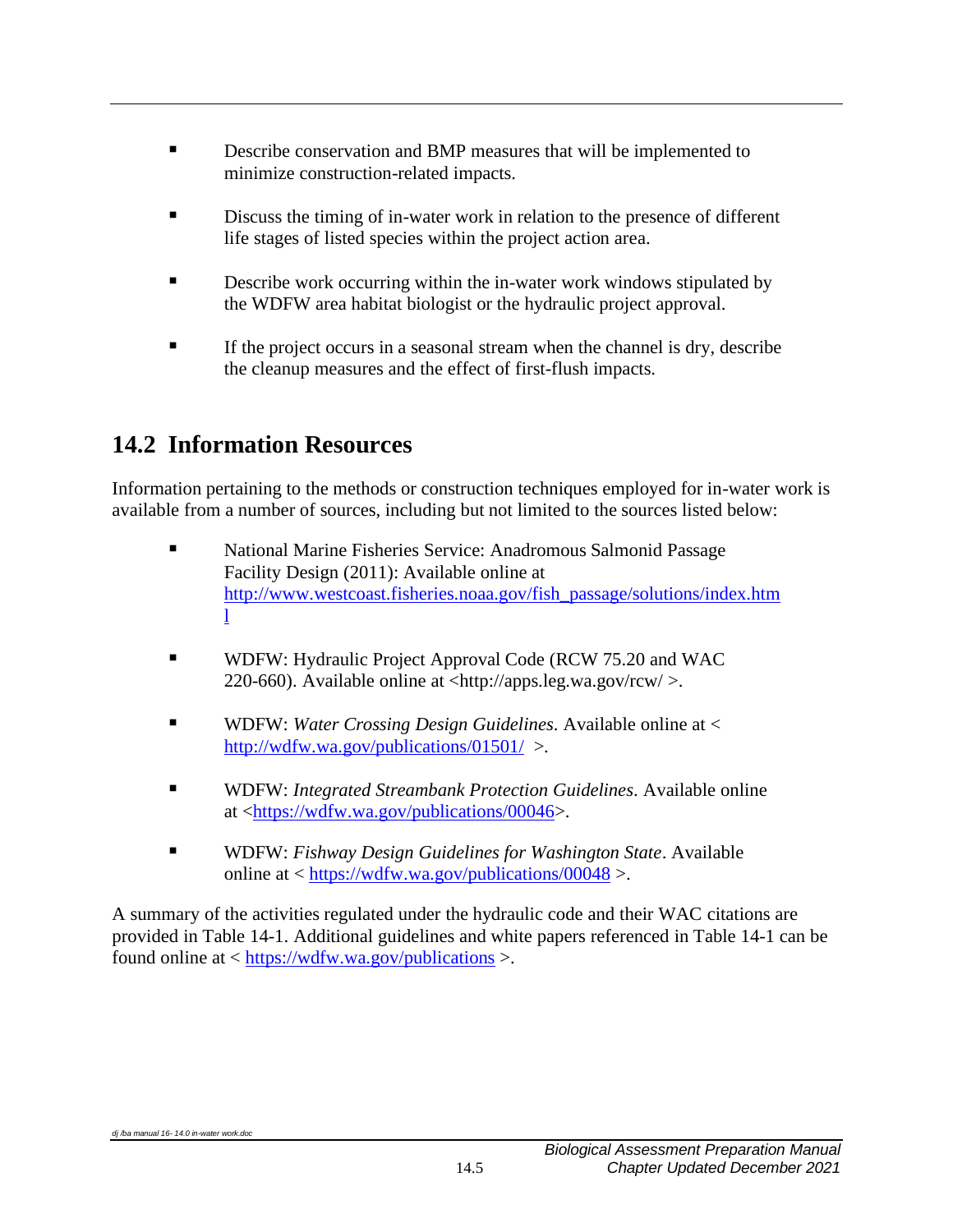- Describe conservation and BMP measures that will be implemented to minimize construction-related impacts.
- Discuss the timing of in-water work in relation to the presence of different life stages of listed species within the project action area.
- **EXECUTE:** Describe work occurring within the in-water work windows stipulated by the WDFW area habitat biologist or the hydraulic project approval.
- **EXECUTE:** If the project occurs in a seasonal stream when the channel is dry, describe the cleanup measures and the effect of first-flush impacts.

### <span id="page-6-0"></span>**14.2 Information Resources**

Information pertaining to the methods or construction techniques employed for in-water work is available from a number of sources, including but not limited to the sources listed below:

- National Marine Fisheries Service: Anadromous Salmonid Passage Facility Design (2011): Available online at [http://www.westcoast.fisheries.noaa.gov/fish\\_passage/solutions/index.htm](http://www.westcoast.fisheries.noaa.gov/fish_passage/solutions/index.html) [l](http://www.westcoast.fisheries.noaa.gov/fish_passage/solutions/index.html)
- WDFW: Hydraulic Project Approval Code (RCW 75.20 and WAC 220-660). Available online at  $\langle \frac{http://apps.leg.wa.gov/rcw}{\rangle}$ .
- WDFW: *Water Crossing Design Guidelines*. Available online at < <http://wdfw.wa.gov/publications/01501/> >.
- WDFW: *Integrated Streambank Protection Guidelines*. Available online at [<https://wdfw.wa.gov/publications/00046>](https://wdfw.wa.gov/publications/00046).
- WDFW: *Fishway Design Guidelines for Washington State*. Available online at < <https://wdfw.wa.gov/publications/00048> >.

A summary of the activities regulated under the hydraulic code and their WAC citations are provided in Table 14-1. Additional guidelines and white papers referenced in Table 14-1 can be found online at < <https://wdfw.wa.gov/publications> >.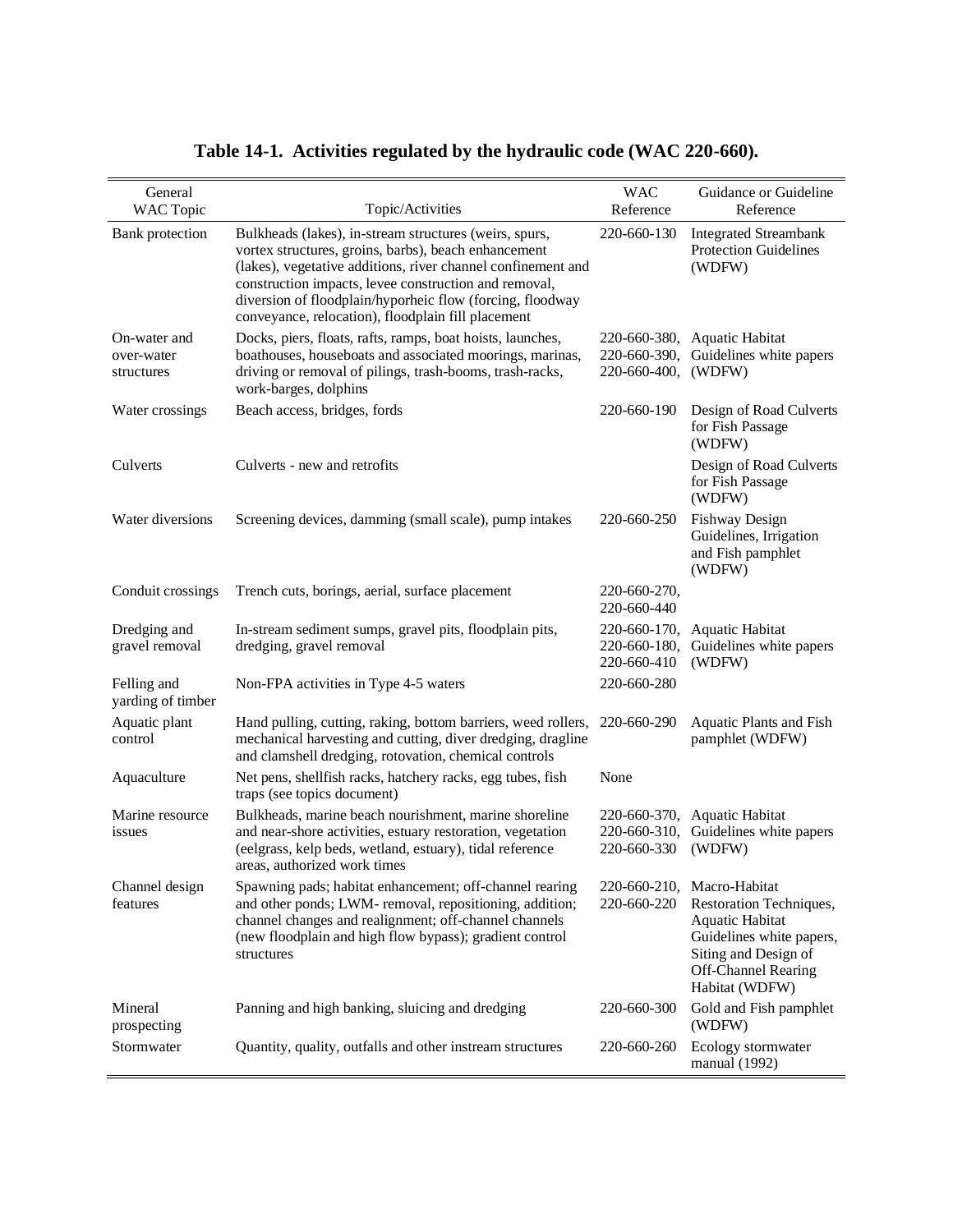<span id="page-7-0"></span>

| General<br><b>WAC</b> Topic              | Topic/Activities                                                                                                                                                                                                                                                                                                                                           | <b>WAC</b><br>Reference                      | Guidance or Guideline<br>Reference                                                                                                                                           |
|------------------------------------------|------------------------------------------------------------------------------------------------------------------------------------------------------------------------------------------------------------------------------------------------------------------------------------------------------------------------------------------------------------|----------------------------------------------|------------------------------------------------------------------------------------------------------------------------------------------------------------------------------|
| Bank protection                          | Bulkheads (lakes), in-stream structures (weirs, spurs,<br>vortex structures, groins, barbs), beach enhancement<br>(lakes), vegetative additions, river channel confinement and<br>construction impacts, levee construction and removal,<br>diversion of floodplain/hyporheic flow (forcing, floodway<br>conveyance, relocation), floodplain fill placement | 220-660-130                                  | <b>Integrated Streambank</b><br><b>Protection Guidelines</b><br>(WDFW)                                                                                                       |
| On-water and<br>over-water<br>structures | Docks, piers, floats, rafts, ramps, boat hoists, launches,<br>boathouses, houseboats and associated moorings, marinas,<br>driving or removal of pilings, trash-booms, trash-racks,<br>work-barges, dolphins                                                                                                                                                | 220-660-380,<br>220-660-390,<br>220-660-400, | <b>Aquatic Habitat</b><br>Guidelines white papers<br>(WDFW)                                                                                                                  |
| Water crossings                          | Beach access, bridges, fords                                                                                                                                                                                                                                                                                                                               | 220-660-190                                  | Design of Road Culverts<br>for Fish Passage<br>(WDFW)                                                                                                                        |
| Culverts                                 | Culverts - new and retrofits                                                                                                                                                                                                                                                                                                                               |                                              | Design of Road Culverts<br>for Fish Passage<br>(WDFW)                                                                                                                        |
| Water diversions                         | Screening devices, damming (small scale), pump intakes                                                                                                                                                                                                                                                                                                     | 220-660-250                                  | <b>Fishway Design</b><br>Guidelines, Irrigation<br>and Fish pamphlet<br>(WDFW)                                                                                               |
| Conduit crossings                        | Trench cuts, borings, aerial, surface placement                                                                                                                                                                                                                                                                                                            | 220-660-270,<br>220-660-440                  |                                                                                                                                                                              |
| Dredging and<br>gravel removal           | In-stream sediment sumps, gravel pits, floodplain pits,<br>dredging, gravel removal                                                                                                                                                                                                                                                                        | 220-660-170,<br>220-660-180,<br>220-660-410  | <b>Aquatic Habitat</b><br>Guidelines white papers<br>(WDFW)                                                                                                                  |
| Felling and<br>yarding of timber         | Non-FPA activities in Type 4-5 waters                                                                                                                                                                                                                                                                                                                      | 220-660-280                                  |                                                                                                                                                                              |
| Aquatic plant<br>control                 | Hand pulling, cutting, raking, bottom barriers, weed rollers,<br>mechanical harvesting and cutting, diver dredging, dragline<br>and clamshell dredging, rotovation, chemical controls                                                                                                                                                                      | 220-660-290                                  | Aquatic Plants and Fish<br>pamphlet (WDFW)                                                                                                                                   |
| Aquaculture                              | Net pens, shellfish racks, hatchery racks, egg tubes, fish<br>traps (see topics document)                                                                                                                                                                                                                                                                  | None                                         |                                                                                                                                                                              |
| Marine resource<br>issues                | Bulkheads, marine beach nourishment, marine shoreline<br>and near-shore activities, estuary restoration, vegetation<br>(eelgrass, kelp beds, wetland, estuary), tidal reference<br>areas, authorized work times                                                                                                                                            | 220-660-310,<br>220-660-330                  | 220-660-370, Aquatic Habitat<br>Guidelines white papers<br>(WDFW)                                                                                                            |
| Channel design<br>features               | Spawning pads; habitat enhancement; off-channel rearing<br>and other ponds; LWM- removal, repositioning, addition;<br>channel changes and realignment; off-channel channels<br>(new floodplain and high flow bypass); gradient control<br>structures                                                                                                       | 220-660-220                                  | 220-660-210, Macro-Habitat<br>Restoration Techniques,<br>Aquatic Habitat<br>Guidelines white papers,<br>Siting and Design of<br><b>Off-Channel Rearing</b><br>Habitat (WDFW) |
| Mineral<br>prospecting                   | Panning and high banking, sluicing and dredging                                                                                                                                                                                                                                                                                                            | 220-660-300                                  | Gold and Fish pamphlet<br>(WDFW)                                                                                                                                             |
| Stormwater                               | Quantity, quality, outfalls and other instream structures                                                                                                                                                                                                                                                                                                  | 220-660-260                                  | Ecology stormwater<br>manual (1992)                                                                                                                                          |

### **Table 14-1. Activities regulated by the hydraulic code (WAC 220-660).**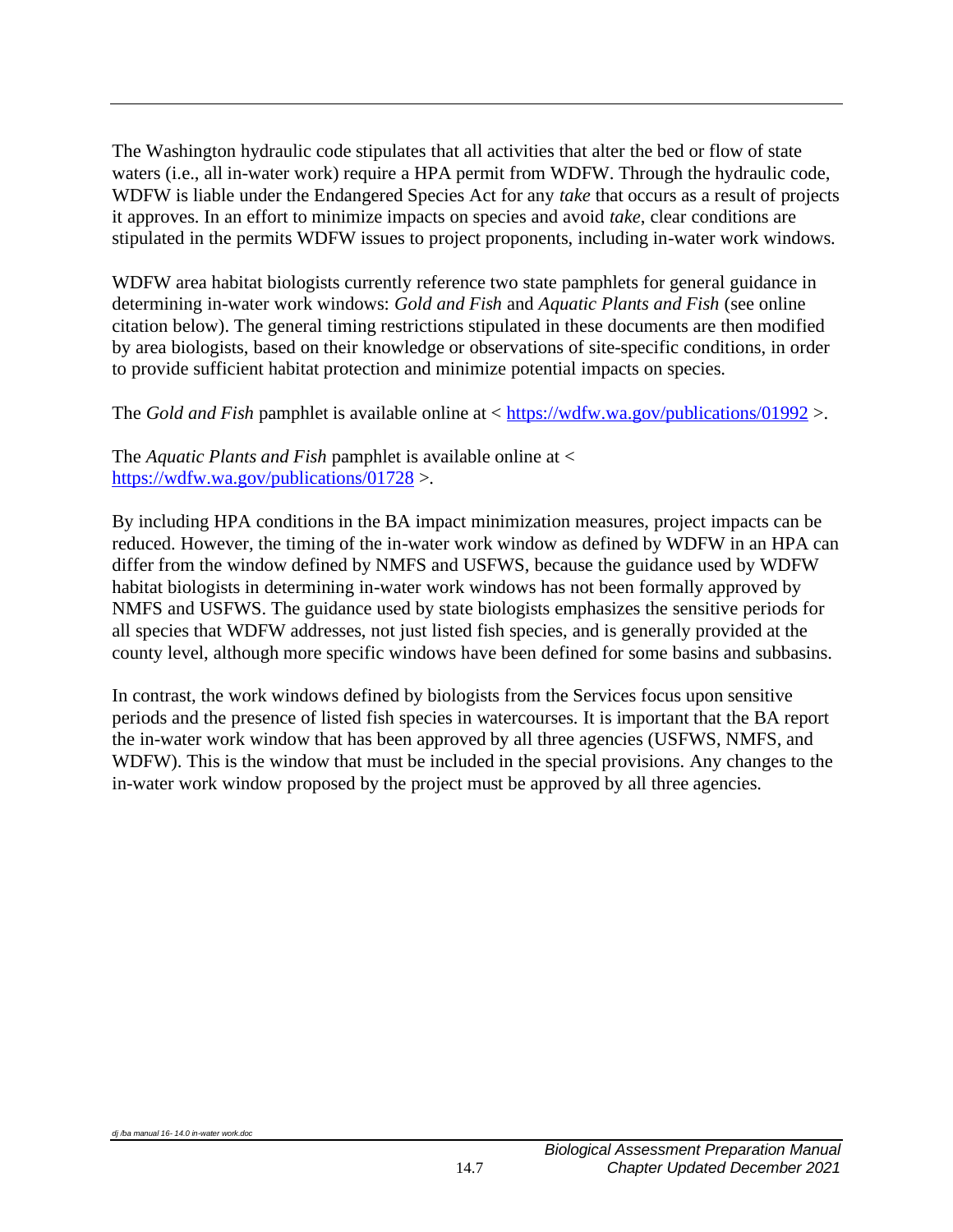The Washington hydraulic code stipulates that all activities that alter the bed or flow of state waters (i.e., all in-water work) require a HPA permit from WDFW. Through the hydraulic code, WDFW is liable under the Endangered Species Act for any *take* that occurs as a result of projects it approves. In an effort to minimize impacts on species and avoid *take*, clear conditions are stipulated in the permits WDFW issues to project proponents, including in-water work windows.

WDFW area habitat biologists currently reference two state pamphlets for general guidance in determining in-water work windows: *Gold and Fish* and *Aquatic Plants and Fish* (see online citation below). The general timing restrictions stipulated in these documents are then modified by area biologists, based on their knowledge or observations of site-specific conditions, in order to provide sufficient habitat protection and minimize potential impacts on species.

The *Gold and Fish* pamphlet is available online at < <https://wdfw.wa.gov/publications/01992> >.

The *Aquatic Plants and Fish* pamphlet is available online at < <https://wdfw.wa.gov/publications/01728> >.

By including HPA conditions in the BA impact minimization measures, project impacts can be reduced. However, the timing of the in-water work window as defined by WDFW in an HPA can differ from the window defined by NMFS and USFWS, because the guidance used by WDFW habitat biologists in determining in-water work windows has not been formally approved by NMFS and USFWS. The guidance used by state biologists emphasizes the sensitive periods for all species that WDFW addresses, not just listed fish species, and is generally provided at the county level, although more specific windows have been defined for some basins and subbasins.

<span id="page-8-0"></span>In contrast, the work windows defined by biologists from the Services focus upon sensitive periods and the presence of listed fish species in watercourses. It is important that the BA report the in-water work window that has been approved by all three agencies (USFWS, NMFS, and WDFW). This is the window that must be included in the special provisions. Any changes to the in-water work window proposed by the project must be approved by all three agencies.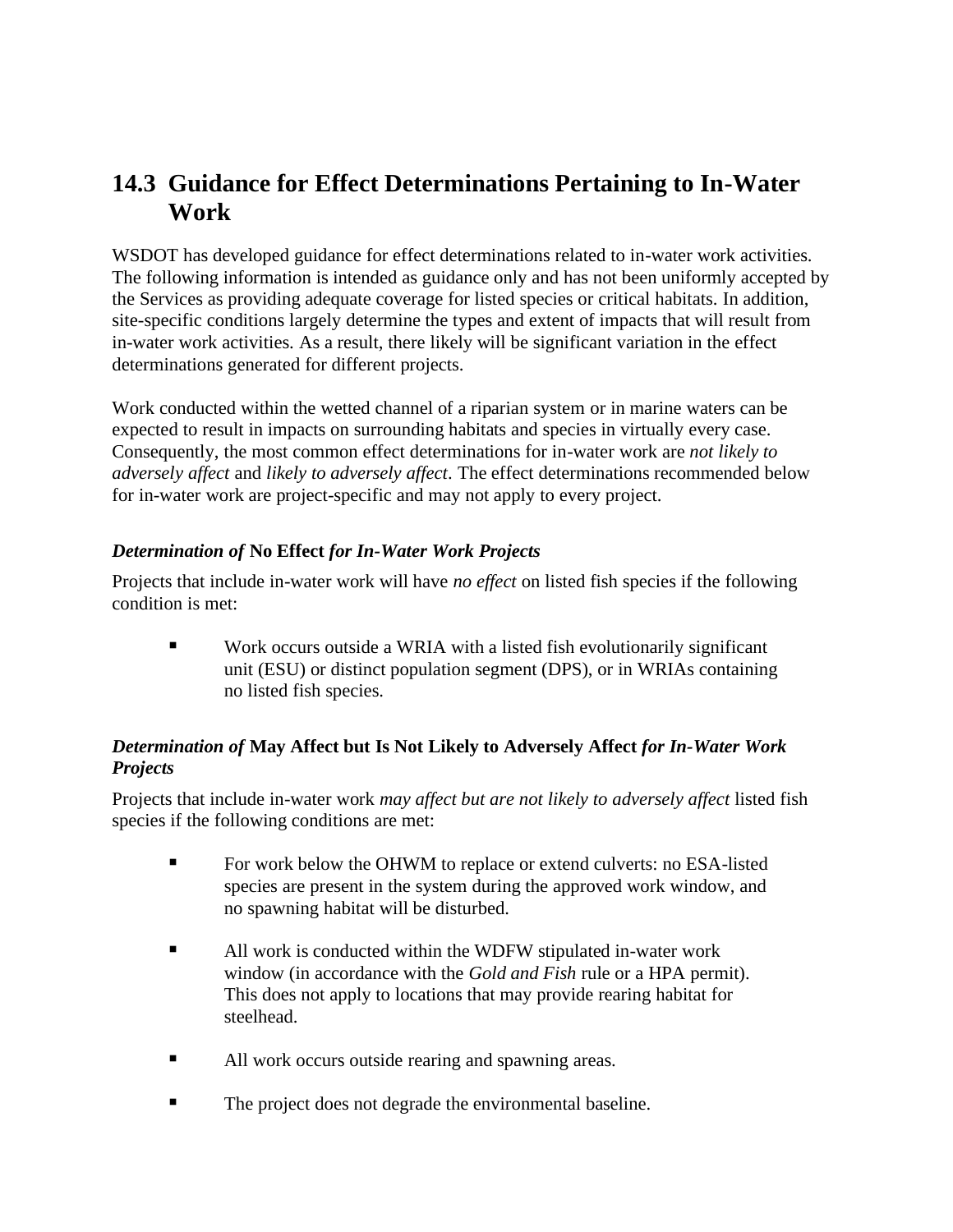### **14.3 Guidance for Effect Determinations Pertaining to In-Water Work**

WSDOT has developed guidance for effect determinations related to in-water work activities. The following information is intended as guidance only and has not been uniformly accepted by the Services as providing adequate coverage for listed species or critical habitats. In addition, site-specific conditions largely determine the types and extent of impacts that will result from in-water work activities. As a result, there likely will be significant variation in the effect determinations generated for different projects.

Work conducted within the wetted channel of a riparian system or in marine waters can be expected to result in impacts on surrounding habitats and species in virtually every case. Consequently, the most common effect determinations for in-water work are *not likely to adversely affect* and *likely to adversely affect*. The effect determinations recommended below for in-water work are project-specific and may not apply to every project.

#### *Determination of* **No Effect** *for In-Water Work Projects*

Projects that include in-water work will have *no effect* on listed fish species if the following condition is met:

Work occurs outside a WRIA with a listed fish evolutionarily significant unit (ESU) or distinct population segment (DPS), or in WRIAs containing no listed fish species.

#### *Determination of* **May Affect but Is Not Likely to Adversely Affect** *for In-Water Work Projects*

Projects that include in-water work *may affect but are not likely to adversely affect* listed fish species if the following conditions are met:

- For work below the OHWM to replace or extend culverts: no ESA-listed species are present in the system during the approved work window, and no spawning habitat will be disturbed.
- All work is conducted within the WDFW stipulated in-water work window (in accordance with the *Gold and Fish* rule or a HPA permit). This does not apply to locations that may provide rearing habitat for steelhead.
- All work occurs outside rearing and spawning areas.
- The project does not degrade the environmental baseline.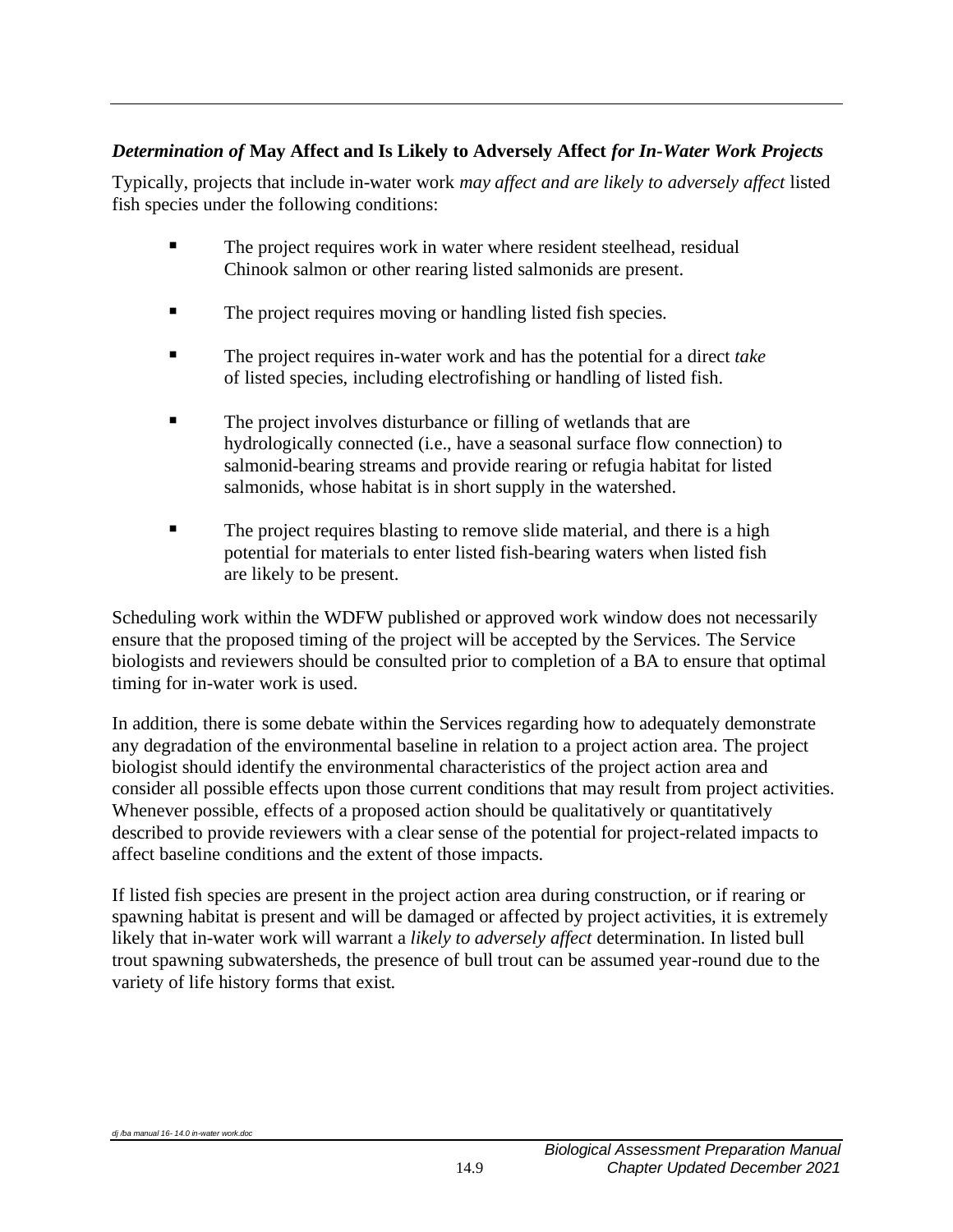#### *Determination of* **May Affect and Is Likely to Adversely Affect** *for In-Water Work Projects*

Typically, projects that include in-water work *may affect and are likely to adversely affect* listed fish species under the following conditions:

- The project requires work in water where resident steelhead, residual Chinook salmon or other rearing listed salmonids are present.
- The project requires moving or handling listed fish species.
- The project requires in-water work and has the potential for a direct *take* of listed species, including electrofishing or handling of listed fish.
- The project involves disturbance or filling of wetlands that are hydrologically connected (i.e., have a seasonal surface flow connection) to salmonid-bearing streams and provide rearing or refugia habitat for listed salmonids, whose habitat is in short supply in the watershed.
- **The project requires blasting to remove slide material, and there is a high** potential for materials to enter listed fish-bearing waters when listed fish are likely to be present.

Scheduling work within the WDFW published or approved work window does not necessarily ensure that the proposed timing of the project will be accepted by the Services. The Service biologists and reviewers should be consulted prior to completion of a BA to ensure that optimal timing for in-water work is used.

In addition, there is some debate within the Services regarding how to adequately demonstrate any degradation of the environmental baseline in relation to a project action area. The project biologist should identify the environmental characteristics of the project action area and consider all possible effects upon those current conditions that may result from project activities. Whenever possible, effects of a proposed action should be qualitatively or quantitatively described to provide reviewers with a clear sense of the potential for project-related impacts to affect baseline conditions and the extent of those impacts.

If listed fish species are present in the project action area during construction, or if rearing or spawning habitat is present and will be damaged or affected by project activities, it is extremely likely that in-water work will warrant a *likely to adversely affect* determination. In listed bull trout spawning subwatersheds, the presence of bull trout can be assumed year-round due to the variety of life history forms that exist.